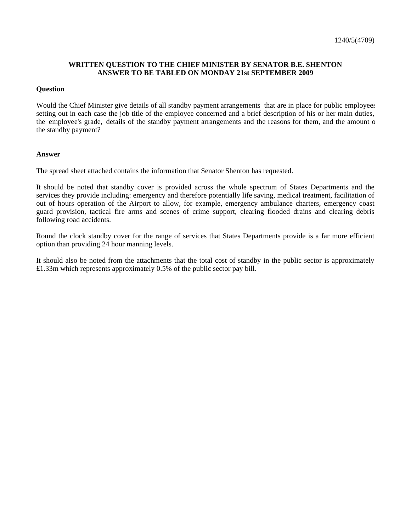## **WRITTEN QUESTION TO THE CHIEF MINISTER BY SENATOR B.E. SHENTON ANSWER TO BE TABLED ON MONDAY 21st SEPTEMBER 2009**

## **Question**

Would the Chief Minister give details of all standby payment arrangements that are in place for public employees setting out in each case the job title of the employee concerned and a brief description of his or her main duties, the employee's grade, details of the standby payment arrangements and the reasons for them, and the amount of the standby payment?

## **Answer**

The spread sheet attached contains the information that Senator Shenton has requested.

It should be noted that standby cover is provided across the whole spectrum of States Departments and the services they provide including: emergency and therefore potentially life saving, medical treatment, facilitation of out of hours operation of the Airport to allow, for example, emergency ambulance charters, emergency coast guard provision, tactical fire arms and scenes of crime support, clearing flooded drains and clearing debris following road accidents.

Round the clock standby cover for the range of services that States Departments provide is a far more efficient option than providing 24 hour manning levels.

It should also be noted from the attachments that the total cost of standby in the public sector is approximately £1.33m which represents approximately 0.5% of the public sector pay bill.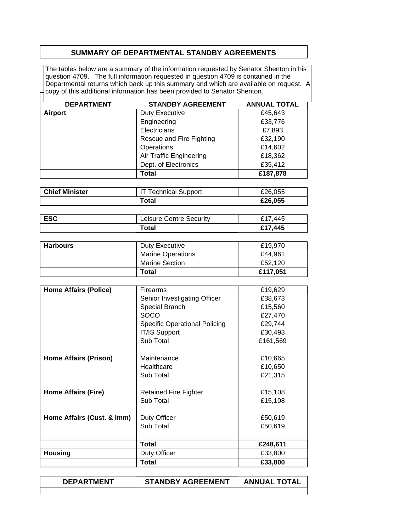## **SUMMARY OF DEPARTMENTAL STANDBY AGREEMENTS**

The tables below are a summary of the information requested by Senator Shenton in his question 4709. The full information requested in question 4709 is contained in the Departmental returns which back up this summary and which are available on request. A copy of this additional information has been provided to Senator Shenton.

| <b>DEPARTMENT</b> | <b>STANDBY AGREEMENT</b> | <b>ANNUAL TOTAL</b> |
|-------------------|--------------------------|---------------------|
| <b>Airport</b>    | <b>Duty Executive</b>    | £45,643             |
|                   | Engineering              | £33,776             |
|                   | Electricians             | £7,893              |
|                   | Rescue and Fire Fighting | £32,190             |
|                   | Operations               | £14,602             |
|                   | Air Traffic Engineering  | £18,362             |
|                   | Dept. of Electronics     | £35,412             |
|                   | Total                    | £187,878            |

| <b>Chief Minister</b> | <b>IT Technical Support</b> | £26,055 |
|-----------------------|-----------------------------|---------|
|                       | 'otal                       | £26,055 |

| <b>ESC</b> | <b>Leisure Centre Security</b> | £17.445 |
|------------|--------------------------------|---------|
|            | 'otal                          | £17,445 |

| <b>Harbours</b> | Duty Executive           | £19.970  |
|-----------------|--------------------------|----------|
|                 | <b>Marine Operations</b> | £44.961  |
|                 | <b>Marine Section</b>    | £52.120  |
|                 | Total                    | £117,051 |

| <b>Home Affairs (Police)</b> | <b>Firearms</b>               | £19,629  |
|------------------------------|-------------------------------|----------|
|                              | Senior Investigating Officer  | £38,673  |
|                              | Special Branch                | £15,560  |
|                              | <b>SOCO</b>                   | £27,470  |
|                              | Specific Operational Policing | £29,744  |
|                              | IT/IS Support                 | £30,493  |
|                              | Sub Total                     | £161,569 |
|                              |                               |          |
| <b>Home Affairs (Prison)</b> | Maintenance                   | £10,665  |
|                              | Healthcare                    | £10,650  |
|                              | Sub Total                     | £21,315  |
|                              |                               |          |
| <b>Home Affairs (Fire)</b>   | Retained Fire Fighter         | £15,108  |
|                              | Sub Total                     | £15,108  |
| Home Affairs (Cust. & Imm)   | Duty Officer                  | £50,619  |
|                              |                               |          |
|                              | Sub Total                     | £50,619  |
|                              |                               |          |
|                              | <b>Total</b>                  | £248,611 |
| <b>Housing</b>               | Duty Officer                  | £33,800  |
|                              | <b>Total</b>                  | £33,800  |

**DEPARTMENT STANDBY AGREEMENT ANNUAL TOTAL**